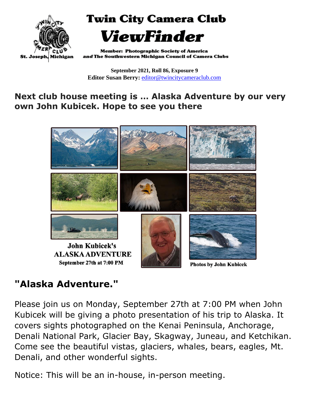

**Twin City Camera Club** ViewFinder

**Member: Photographic Society of America** and The Southwestern Michigan Council of Camera Clubs

**September 2021, Roll 86, Exposure 9 Editor Susan Berry:** [editor@twincitycameraclub.com](mailto:editor@twincitycameraclub.com)

#### **Next club house meeting is … Alaska Adventure by our very own John Kubicek. Hope to see you there**



**Photos by John Kubicek** 

## **"Alaska Adventure."**

Please join us on Monday, September 27th at 7:00 PM when John Kubicek will be giving a photo presentation of his trip to Alaska. It covers sights photographed on the Kenai Peninsula, Anchorage, Denali National Park, Glacier Bay, Skagway, Juneau, and Ketchikan. Come see the beautiful vistas, glaciers, whales, bears, eagles, Mt. Denali, and other wonderful sights.

Notice: This will be an in-house, in-person meeting.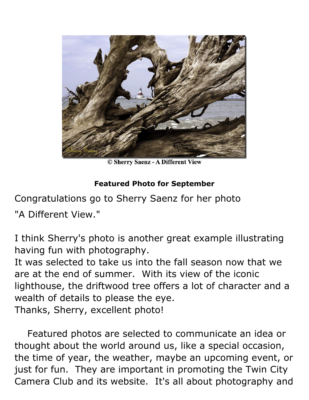

© Sherry Saenz - A Different View

#### **Featured Photo for September**

Congratulations go to Sherry Saenz for her photo

"A Different View."

I think Sherry's photo is another great example illustrating having fun with photography.

It was selected to take us into the fall season now that we are at the end of summer. With its view of the iconic lighthouse, the driftwood tree offers a lot of character and a wealth of details to please the eye. Thanks, Sherry, excellent photo!

Featured photos are selected to communicate an idea or thought about the world around us, like a special occasion, the time of year, the weather, maybe an upcoming event, or just for fun. They are important in promoting the Twin City Camera Club and its website. It's all about photography and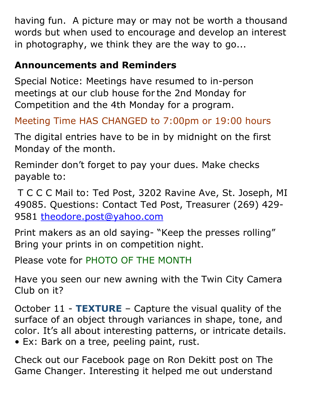having fun. A picture may or may not be worth a thousand words but when used to encourage and develop an interest in photography, we think they are the way to go...

## **Announcements and Reminders**

Special Notice: Meetings have resumed to in-person meetings at our club house for the 2nd Monday for Competition and the 4th Monday for a program.

Meeting Time HAS CHANGED to 7:00pm or 19:00 hours

The digital entries have to be in by midnight on the first Monday of the month.

Reminder don't forget to pay your dues. Make checks payable to:

T C C C Mail to: Ted Post, 3202 Ravine Ave, St. Joseph, MI 49085. Questions: Contact Ted Post, Treasurer (269) 429- 9581 [theodore.post@yahoo.com](mailto:theodore.post@yahoo.com)

Print makers as an old saying- "Keep the presses rolling" Bring your prints in on competition night.

Please vote for PHOTO OF THE MONTH

Have you seen our new awning with the Twin City Camera Club on it?

October 11 - **TEXTURE** – Capture the visual quality of the surface of an object through variances in shape, tone, and color. It's all about interesting patterns, or intricate details. • Ex: Bark on a tree, peeling paint, rust.

Check out our Facebook page on Ron Dekitt post on The Game Changer. Interesting it helped me out understand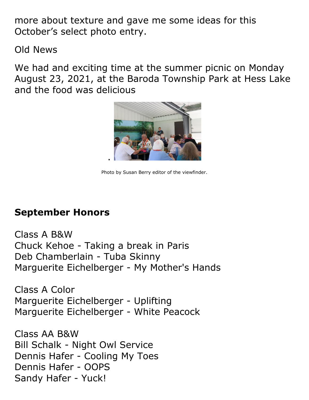more about texture and gave me some ideas for this October's select photo entry.

Old News

We had and exciting time at the summer picnic on Monday August 23, 2021, at the Baroda Township Park at Hess Lake and the food was delicious



Photo by Susan Berry editor of the viewfinder.

## **September Honors**

Class A B&W Chuck Kehoe - Taking a break in Paris Deb Chamberlain - Tuba Skinny Marguerite Eichelberger - My Mother's Hands

Class A Color Marguerite Eichelberger - Uplifting Marguerite Eichelberger - White Peacock

Class AA B&W Bill Schalk - Night Owl Service Dennis Hafer - Cooling My Toes Dennis Hafer - OOPS Sandy Hafer - Yuck!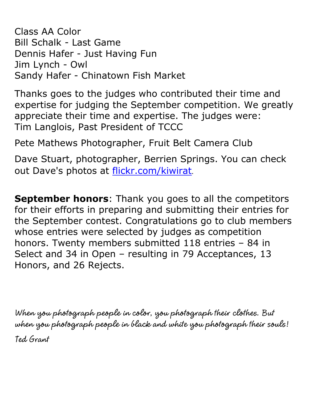Class AA Color Bill Schalk - Last Game Dennis Hafer - Just Having Fun Jim Lynch - Owl Sandy Hafer - Chinatown Fish Market

Thanks goes to the judges who contributed their time and expertise for judging the September competition. We greatly appreciate their time and expertise. The judges were: Tim Langlois, Past President of TCCC

Pete Mathews Photographer, Fruit Belt Camera Club

Dave Stuart, photographer, Berrien Springs. You can check out Dave's photos at [flickr.com/kiwirat](http://flickr.com/kiwirat).

**September honors**: Thank you goes to all the competitors for their efforts in preparing and submitting their entries for the September contest. Congratulations go to club members whose entries were selected by judges as competition honors. Twenty members submitted 118 entries – 84 in Select and 34 in Open – resulting in 79 Acceptances, 13 Honors, and 26 Rejects.

**When you photograph people in color, you photograph their clothes. But when you photograph people in black and white you photograph their souls! Ted Grant**